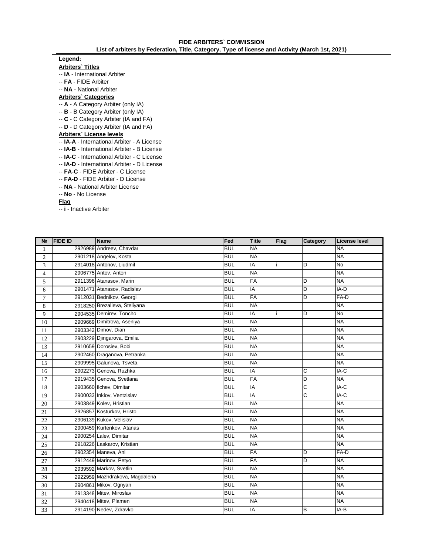## **Legend:**

**Arbiters` Titles**

- -- **IA**  International Arbiter
- -- **FA**  FIDE Arbiter
- -- **NA**  National Arbiter

## **Arbiters` Categories**

- -- **A**  A Category Arbiter (only IA)
- -- **B**  B Category Arbiter (only IA)
- -- **C**  C Category Arbiter (IA and FA)
- -- **D**  D Category Arbiter (IA and FA)

## **Arbiters` License levels**

- -- **IA-A**  International Arbiter A License
- -- **IA-B**  International Arbiter B License
- -- **IA-C**  International Arbiter C License
- -- **IA-D**  International Arbiter D License
- -- **FA-C**  FIDE Arbiter C License
- -- **FA-D**  FIDE Arbiter D License
- -- **NA**  National Arbiter License
- -- **No**  No License

## **Flag**

-- **i** - Inactive Arbiter

| N <sub>2</sub>  | <b>FIDE ID</b> | Name                           | Fed        | <b>Title</b> | Flag | Category | License level |
|-----------------|----------------|--------------------------------|------------|--------------|------|----------|---------------|
| 1               |                | 2926989 Andreev, Chavdar       | <b>BUL</b> | <b>NA</b>    |      |          | <b>NA</b>     |
| 2               |                | 2901218 Angelov, Kosta         | <b>BUL</b> | <b>NA</b>    |      |          | <b>NA</b>     |
| 3               |                | 2914018 Antonov, Liudmil       | <b>BUL</b> | IA           |      | D        | <b>No</b>     |
| $\overline{4}$  |                | 2906775 Antov, Anton           | <b>BUL</b> | <b>NA</b>    |      |          | <b>NA</b>     |
| 5               |                | 2911396 Atanasov, Marin        | <b>BUL</b> | <b>FA</b>    |      | D        | <b>NA</b>     |
| 6               |                | 2901471 Atanasov, Radislav     | <b>BUL</b> | IA           |      | D        | IA-D          |
| $7\phantom{.0}$ |                | 2912031 Bednikov, Georgi       | <b>BUL</b> | FA           |      | D        | $FA-D$        |
| 8               |                | 2918250 Brezalieva, Steliyana  | <b>BUL</b> | <b>NA</b>    |      |          | <b>NA</b>     |
| 9               |                | 2904535 Demirev, Toncho        | <b>BUL</b> | IA           |      | D        | <b>No</b>     |
| 10              |                | 2909669 Dimitrova, Aseniya     | <b>BUL</b> | <b>NA</b>    |      |          | <b>NA</b>     |
| 11              |                | 2903342 Dimov, Dian            | <b>BUL</b> | <b>NA</b>    |      |          | <b>NA</b>     |
| 12              |                | 2903229 Djingarova, Emilia     | <b>BUL</b> | <b>NA</b>    |      |          | <b>NA</b>     |
| 13              |                | 2910659 Dorosiev, Bobi         | <b>BUL</b> | <b>NA</b>    |      |          | <b>NA</b>     |
| 14              |                | 2902460 Draganova, Petranka    | <b>BUL</b> | <b>NA</b>    |      |          | <b>NA</b>     |
| 15              |                | 2909995 Galunova, Tsveta       | <b>BUL</b> | <b>NA</b>    |      |          | <b>NA</b>     |
| 16              |                | 2902273 Genova, Ruzhka         | <b>BUL</b> | IA           |      | C        | $IA-C$        |
| 17              |                | 2919435 Genova, Svetlana       | <b>BUL</b> | <b>FA</b>    |      | D        | <b>NA</b>     |
| 18              |                | 2903660 Ilchev, Dimitar        | <b>BUL</b> | IA           |      | C        | IA-C          |
| 19              |                | 2900033 Inkiov, Ventzislav     | <b>BUL</b> | IA           |      | C        | IA-C          |
| 20              |                | 2903849 Kolev, Hristian        | <b>BUL</b> | <b>NA</b>    |      |          | <b>NA</b>     |
| 21              |                | 2926857 Kosturkov, Hristo      | <b>BUL</b> | <b>NA</b>    |      |          | <b>NA</b>     |
| 22              |                | 2906139 Kukov, Velislav        | <b>BUL</b> | <b>NA</b>    |      |          | <b>NA</b>     |
| 23              |                | 2900459 Kurtenkov, Atanas      | <b>BUL</b> | <b>NA</b>    |      |          | <b>NA</b>     |
| 24              |                | 2900254 Lalev, Dimitar         | <b>BUL</b> | <b>NA</b>    |      |          | <b>NA</b>     |
| 25              |                | 2918226 Laskarov, Kristian     | <b>BUL</b> | <b>NA</b>    |      |          | <b>NA</b>     |
| 26              |                | 2902354 Maneva, Ani            | <b>BUL</b> | <b>FA</b>    |      | D        | $FA-D$        |
| 27              |                | 2912449 Marinov, Petyo         | <b>BUL</b> | <b>FA</b>    |      | D        | <b>NA</b>     |
| 28              |                | 2939592 Markov, Svetlin        | <b>BUL</b> | <b>NA</b>    |      |          | <b>NA</b>     |
| 29              |                | 2922959 Mazhdrakova, Magdalena | <b>BUL</b> | <b>NA</b>    |      |          | <b>NA</b>     |
| 30              |                | 2904861 Mikov, Ognyan          | <b>BUL</b> | <b>NA</b>    |      |          | <b>NA</b>     |
| 31              |                | 2913348 Mitev, Miroslav        | <b>BUL</b> | <b>NA</b>    |      |          | <b>NA</b>     |
| 32              |                | 2940418 Mitev, Plamen          | <b>BUL</b> | <b>NA</b>    |      |          | <b>NA</b>     |
| 33              |                | 2914190 Nedev, Zdravko         | <b>BUL</b> | IA           |      | B        | IA-B          |